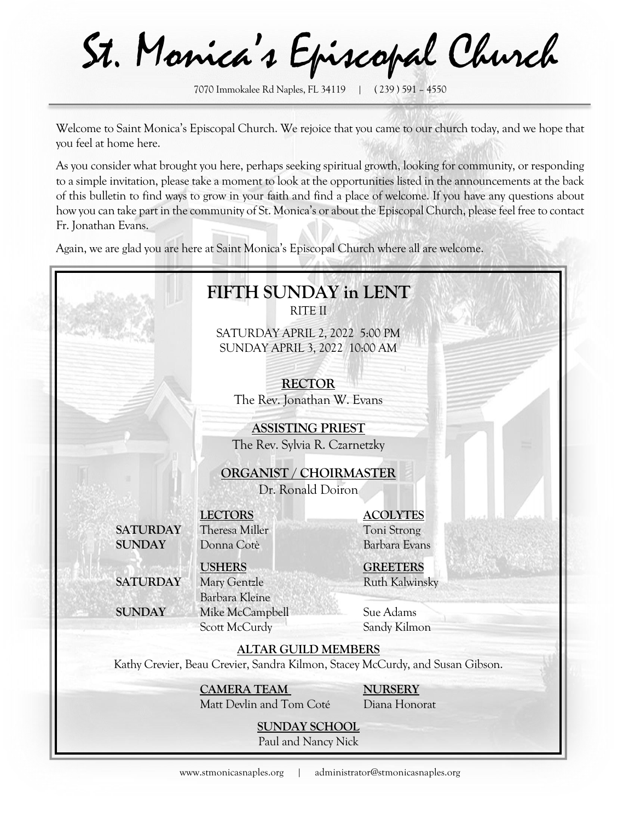St. Monica's Episcopal Church

Welcome to Saint Monica's Episcopal Church. We rejoice that you came to our church today, and we hope that you feel at home here.

As you consider what brought you here, perhaps seeking spiritual growth, looking for community, or responding to a simple invitation, please take a moment to look at the opportunities listed in the announcements at the back of this bulletin to find ways to grow in your faith and find a place of welcome. If you have any questions about how you can take part in the community of St. Monica's or about the Episcopal Church, please feel free to contact Fr. Jonathan Evans.

Again, we are glad you are here at Saint Monica's Episcopal Church where all are welcome.



<sup>7070</sup> Immokalee Rd Naples, FL 34119 | ( 239 ) 591 – 4550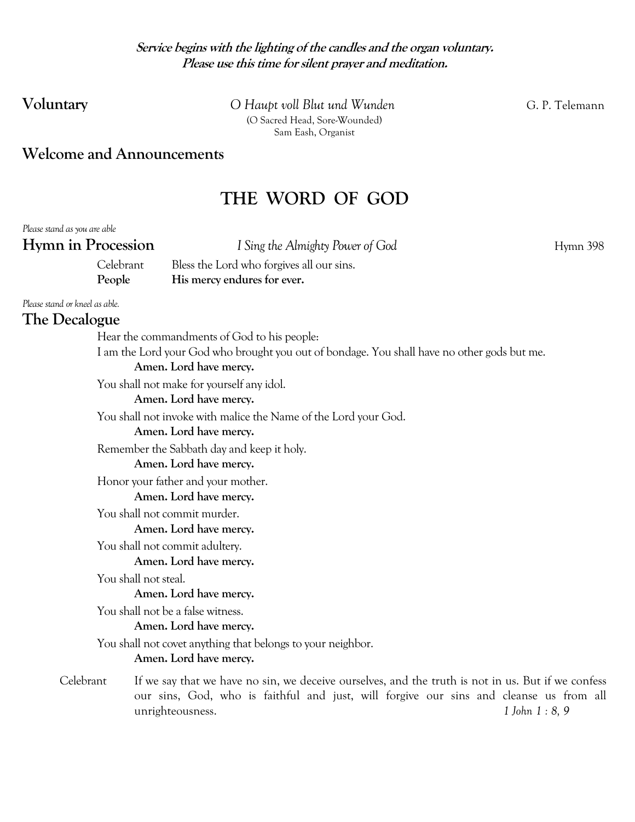**Voluntary** *O Haupt voll Blut und Wunden* G. P. Telemann (O Sacred Head, Sore-Wounded) Sam Eash, Organist

## **Welcome and Announcements**

# **THE WORD OF GOD**

#### *Please stand as you are able*

| Hymn in Procession  | I Sing the Almighty Power of God                                         | Hymn 398 |
|---------------------|--------------------------------------------------------------------------|----------|
| Celebrant<br>People | Bless the Lord who forgives all our sins.<br>His mercy endures for ever. |          |
|                     |                                                                          |          |

*Please stand or kneel as able.*

### **The Decalogue**

Hear the commandments of God to his people: I am the Lord your God who brought you out of bondage. You shall have no other gods but me. **Amen. Lord have mercy.** You shall not make for yourself any idol. **Amen. Lord have mercy.** You shall not invoke with malice the Name of the Lord your God. **Amen. Lord have mercy.** Remember the Sabbath day and keep it holy. **Amen. Lord have mercy.** Honor your father and your mother. **Amen. Lord have mercy.** You shall not commit murder. **Amen. Lord have mercy.** You shall not commit adultery. **Amen. Lord have mercy.** You shall not steal. **Amen. Lord have mercy.** You shall not be a false witness. **Amen. Lord have mercy.** You shall not covet anything that belongs to your neighbor. **Amen. Lord have mercy.**

Celebrant If we say that we have no sin, we deceive ourselves, and the truth is not in us. But if we confess our sins, God, who is faithful and just, will forgive our sins and cleanse us from all unrighteousness. *1 John 1 : 8, 9*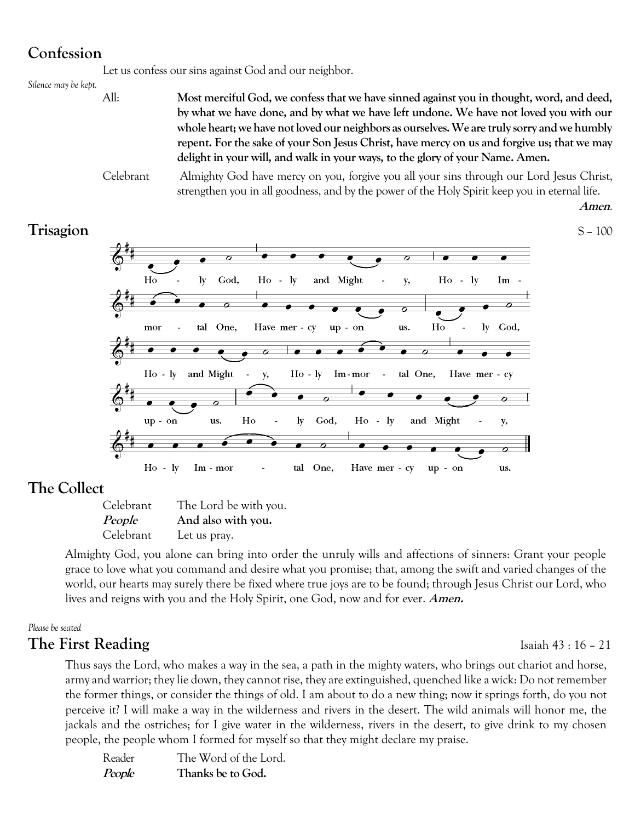# **Confession**

Let us confess our sins against God and our neighbor.

*Silence may be kept.*

All: **Most merciful God, we confess that we have sinned against you in thought, word, and deed, by what we have done, and by what we have left undone. We have not loved you with our whole heart; we have not loved our neighbors as ourselves. We are truly sorry and we humbly repent. For the sake of your Son Jesus Christ, have mercy on us and forgive us; that we may delight in your will, and walk in your ways, to the glory of your Name. Amen.**

Celebrant Almighty God have mercy on you, forgive you all your sins through our Lord Jesus Christ, strengthen you in all goodness, and by the power of the Holy Spirit keep you in eternal life.

**Amen**.



# **The Collect**

Celebrant The Lord be with you. **People And also with you.** Celebrant Let us pray.

Almighty God, you alone can bring into order the unruly wills and affections of sinners: Grant your people grace to love what you command and desire what you promise; that, among the swift and varied changes of the world, our hearts may surely there be fixed where true joys are to be found; through Jesus Christ our Lord, who lives and reigns with you and the Holy Spirit, one God, now and for ever. **Amen.**

## *Please be seated*

## **The First Reading** Isaiah 43 : 16 – 21

Thus says the Lord, who makes a way in the sea, a path in the mighty waters, who brings out chariot and horse, army and warrior; they lie down, they cannot rise, they are extinguished, quenched like a wick: Do not remember the former things, or consider the things of old. I am about to do a new thing; now it springs forth, do you not perceive it? I will make a way in the wilderness and rivers in the desert. The wild animals will honor me, the jackals and the ostriches; for I give water in the wilderness, rivers in the desert, to give drink to my chosen people, the people whom I formed for myself so that they might declare my praise.

| Reader | The Word of the Lord. |
|--------|-----------------------|
| People | Thanks be to God.     |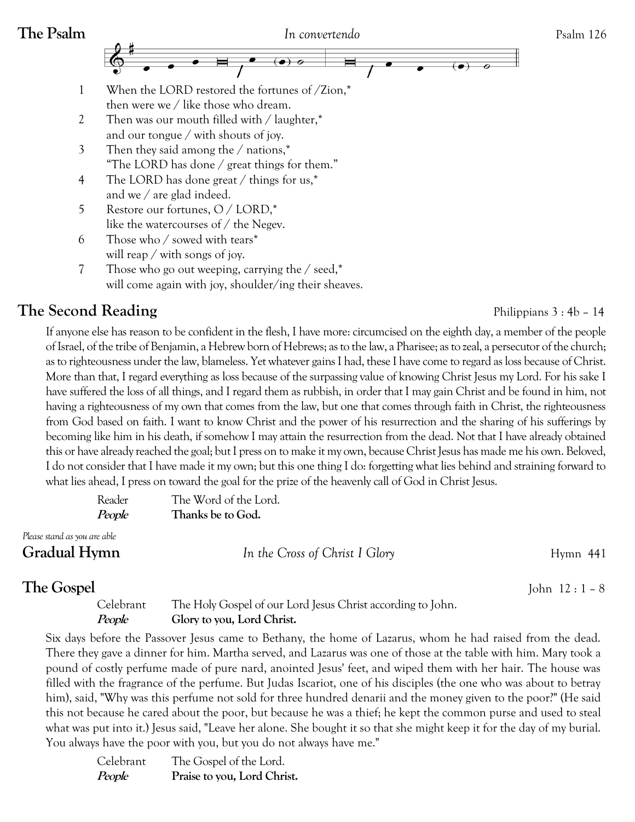

7 Those who go out weeping, carrying the / seed,\* will come again with joy, shoulder/ing their sheaves.

# **The Second Reading**  Philippians 3 : 4b – 14

If anyone else has reason to be confident in the flesh, I have more: circumcised on the eighth day, a member of the people of Israel, of the tribe of Benjamin, a Hebrew born of Hebrews; as to the law, a Pharisee; as to zeal, a persecutor of the church; as to righteousness under the law, blameless. Yet whatever gains I had, these I have come to regard as loss because of Christ. More than that, I regard everything as loss because of the surpassing value of knowing Christ Jesus my Lord. For his sake I have suffered the loss of all things, and I regard them as rubbish, in order that I may gain Christ and be found in him, not having a righteousness of my own that comes from the law, but one that comes through faith in Christ, the righteousness from God based on faith. I want to know Christ and the power of his resurrection and the sharing of his sufferings by becoming like him in his death, if somehow I may attain the resurrection from the dead. Not that I have already obtained this or have already reached the goal; but I press on to make it my own, because Christ Jesus has made me his own. Beloved, I do not consider that I have made it my own; but this one thing I do: forgetting what lies behind and straining forward to what lies ahead, I press on toward the goal for the prize of the heavenly call of God in Christ Jesus.

| Reader                                       | The Word of the Lord.          |            |
|----------------------------------------------|--------------------------------|------------|
| People                                       | Thanks be to God.              |            |
| Please stand as you are able<br>Gradual Hymn | In the Cross of Christ I Glory | $Hymn$ 441 |

# **The Gospel** John 12 : 1 – 8

Celebrant The Holy Gospel of our Lord Jesus Christ according to John. **People Glory to you, Lord Christ.** 

Six days before the Passover Jesus came to Bethany, the home of Lazarus, whom he had raised from the dead. There they gave a dinner for him. Martha served, and Lazarus was one of those at the table with him. Mary took a pound of costly perfume made of pure nard, anointed Jesus' feet, and wiped them with her hair. The house was filled with the fragrance of the perfume. But Judas Iscariot, one of his disciples (the one who was about to betray him), said, "Why was this perfume not sold for three hundred denarii and the money given to the poor?" (He said this not because he cared about the poor, but because he was a thief; he kept the common purse and used to steal what was put into it.) Jesus said, "Leave her alone. She bought it so that she might keep it for the day of my burial. You always have the poor with you, but you do not always have me."

| Celebrant | The Gospel of the Lord.     |
|-----------|-----------------------------|
| People    | Praise to you, Lord Christ. |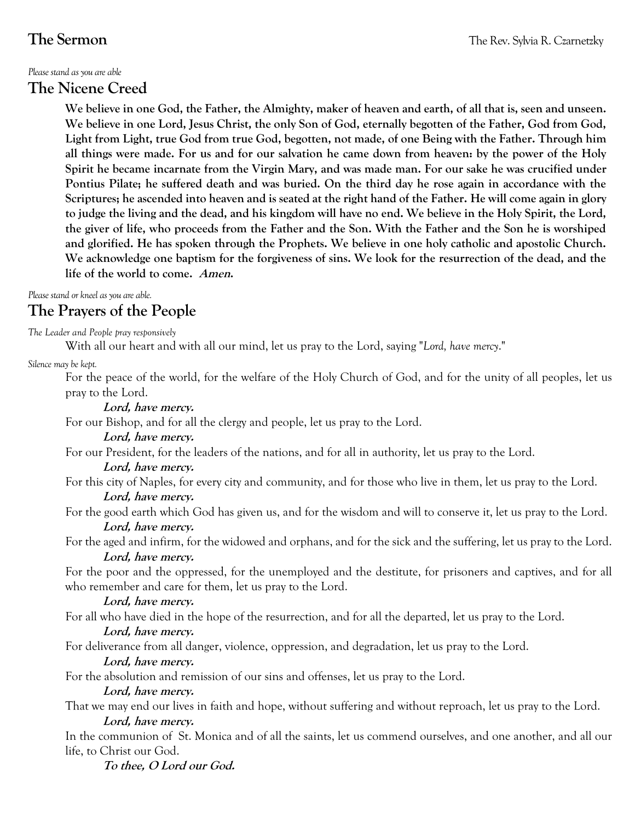## **The Sermon** The Rev. Sylvia R. Czarnetzky

#### *Please stand as you are able*

## **The Nicene Creed**

**We believe in one God, the Father, the Almighty, maker of heaven and earth, of all that is, seen and unseen. We believe in one Lord, Jesus Christ, the only Son of God, eternally begotten of the Father, God from God, Light from Light, true God from true God, begotten, not made, of one Being with the Father. Through him all things were made. For us and for our salvation he came down from heaven: by the power of the Holy Spirit he became incarnate from the Virgin Mary, and was made man. For our sake he was crucified under Pontius Pilate; he suffered death and was buried. On the third day he rose again in accordance with the Scriptures; he ascended into heaven and is seated at the right hand of the Father. He will come again in glory to judge the living and the dead, and his kingdom will have no end. We believe in the Holy Spirit, the Lord, the giver of life, who proceeds from the Father and the Son. With the Father and the Son he is worshiped and glorified. He has spoken through the Prophets. We believe in one holy catholic and apostolic Church. We acknowledge one baptism for the forgiveness of sins. We look for the resurrection of the dead, and the life of the world to come. Amen.**

*Please stand or kneel as you are able.*

## **The Prayers of the People**

#### *The Leader and People pray responsively*

With all our heart and with all our mind, let us pray to the Lord, saying "*Lord, have mercy*."

*Silence may be kept.*

For the peace of the world, for the welfare of the Holy Church of God, and for the unity of all peoples, let us pray to the Lord.

#### **Lord, have mercy.**

For our Bishop, and for all the clergy and people, let us pray to the Lord.

### **Lord, have mercy.**

For our President, for the leaders of the nations, and for all in authority, let us pray to the Lord.

#### **Lord, have mercy.**

For this city of Naples, for every city and community, and for those who live in them, let us pray to the Lord. **Lord, have mercy.**

For the good earth which God has given us, and for the wisdom and will to conserve it, let us pray to the Lord. **Lord, have mercy.**

For the aged and infirm, for the widowed and orphans, and for the sick and the suffering, let us pray to the Lord. **Lord, have mercy.**

For the poor and the oppressed, for the unemployed and the destitute, for prisoners and captives, and for all who remember and care for them, let us pray to the Lord.

#### **Lord, have mercy.**

For all who have died in the hope of the resurrection, and for all the departed, let us pray to the Lord.

### **Lord, have mercy.**

For deliverance from all danger, violence, oppression, and degradation, let us pray to the Lord.

### **Lord, have mercy.**

For the absolution and remission of our sins and offenses, let us pray to the Lord.

### **Lord, have mercy.**

That we may end our lives in faith and hope, without suffering and without reproach, let us pray to the Lord.

#### **Lord, have mercy.**

In the communion of St. Monica and of all the saints, let us commend ourselves, and one another, and all our life, to Christ our God.

## **To thee, O Lord our God.**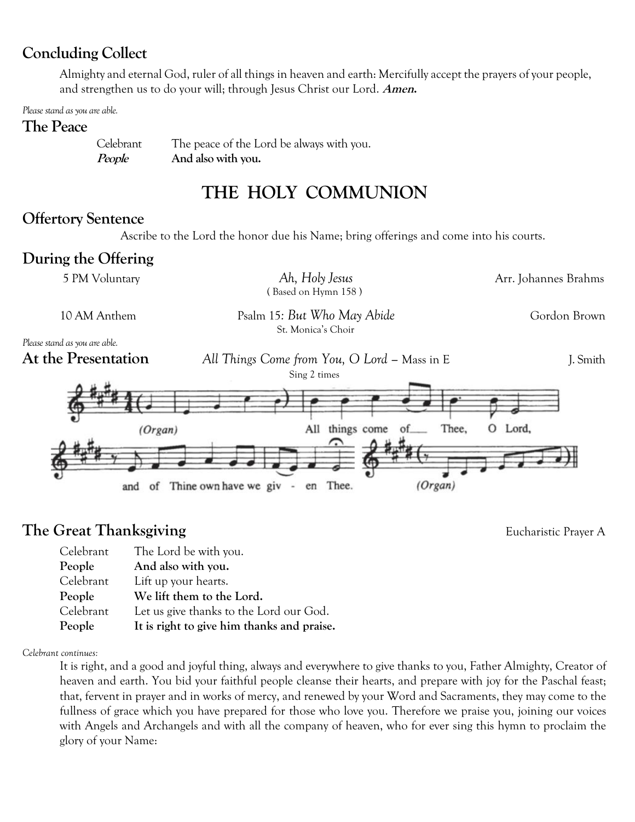# **Concluding Collect**

Almighty and eternal God, ruler of all things in heaven and earth: Mercifully accept the prayers of your people, and strengthen us to do your will; through Jesus Christ our Lord. **Amen.**

*Please stand as you are able.*

## **The Peace**

| Celebrant | The peace of the Lord be always with you. |
|-----------|-------------------------------------------|
| People    | And also with you.                        |

# **THE HOLY COMMUNION**

## **Offertory Sentence**

Ascribe to the Lord the honor due his Name; bring offerings and come into his courts.

## **During the Offering**

10 AM Anthem Psalm 15*: But Who May Abide* Gordon Brown

5 PM Voluntary *Ah, Holy Jesus* Arr. Johannes Brahms ( Based on Hymn 158 )

St. Monica's Choir

*Please stand as you are able.*

At the Presentation *All Things Come from You, O Lord – Mass in E* J. Smith



# **The Great Thanksgiving** *Eucharistic Prayer A*

| Celebrant | The Lord be with you.                      |
|-----------|--------------------------------------------|
| People    | And also with you.                         |
| Celebrant | Lift up your hearts.                       |
| People    | We lift them to the Lord.                  |
| Celebrant | Let us give thanks to the Lord our God.    |
| People    | It is right to give him thanks and praise. |

*Celebrant continues:*

It is right, and a good and joyful thing, always and everywhere to give thanks to you, Father Almighty, Creator of heaven and earth. You bid your faithful people cleanse their hearts, and prepare with joy for the Paschal feast; that, fervent in prayer and in works of mercy, and renewed by your Word and Sacraments, they may come to the fullness of grace which you have prepared for those who love you. Therefore we praise you, joining our voices with Angels and Archangels and with all the company of heaven, who for ever sing this hymn to proclaim the glory of your Name: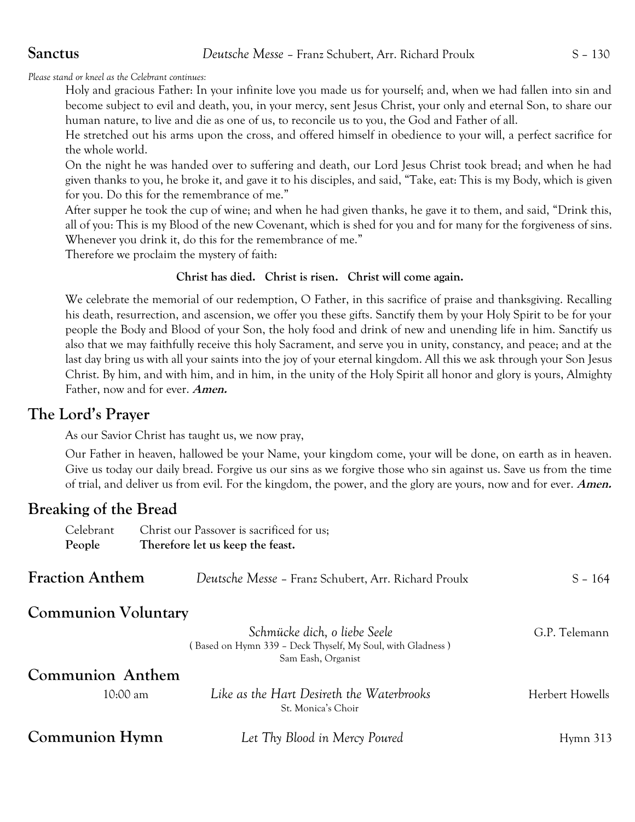*Please stand or kneel as the Celebrant continues:*

Holy and gracious Father: In your infinite love you made us for yourself; and, when we had fallen into sin and become subject to evil and death, you, in your mercy, sent Jesus Christ, your only and eternal Son, to share our human nature, to live and die as one of us, to reconcile us to you, the God and Father of all.

He stretched out his arms upon the cross, and offered himself in obedience to your will, a perfect sacrifice for the whole world.

On the night he was handed over to suffering and death, our Lord Jesus Christ took bread; and when he had given thanks to you, he broke it, and gave it to his disciples, and said, "Take, eat: This is my Body, which is given for you. Do this for the remembrance of me."

After supper he took the cup of wine; and when he had given thanks, he gave it to them, and said, "Drink this, all of you: This is my Blood of the new Covenant, which is shed for you and for many for the forgiveness of sins. Whenever you drink it, do this for the remembrance of me."

Therefore we proclaim the mystery of faith:

### **Christ has died. Christ is risen. Christ will come again.**

We celebrate the memorial of our redemption, O Father, in this sacrifice of praise and thanksgiving. Recalling his death, resurrection, and ascension, we offer you these gifts. Sanctify them by your Holy Spirit to be for your people the Body and Blood of your Son, the holy food and drink of new and unending life in him. Sanctify us also that we may faithfully receive this holy Sacrament, and serve you in unity, constancy, and peace; and at the last day bring us with all your saints into the joy of your eternal kingdom. All this we ask through your Son Jesus Christ. By him, and with him, and in him, in the unity of the Holy Spirit all honor and glory is yours, Almighty Father, now and for ever. **Amen.**

## **The Lord's Prayer**

As our Savior Christ has taught us, we now pray,

Our Father in heaven, hallowed be your Name, your kingdom come, your will be done, on earth as in heaven. Give us today our daily bread. Forgive us our sins as we forgive those who sin against us. Save us from the time of trial, and deliver us from evil. For the kingdom, the power, and the glory are yours, now and for ever. **Amen.**

# **Breaking of the Bread**

| Celebrant<br>People        | Christ our Passover is sacrificed for us;<br>Therefore let us keep the feast.                                    |                 |  |  |
|----------------------------|------------------------------------------------------------------------------------------------------------------|-----------------|--|--|
| <b>Fraction Anthem</b>     | Deutsche Messe - Franz Schubert, Arr. Richard Proulx                                                             | $S - 164$       |  |  |
| <b>Communion Voluntary</b> |                                                                                                                  |                 |  |  |
|                            | Schmücke dich, o liebe Seele<br>(Based on Hymn 339 – Deck Thyself, My Soul, with Gladness)<br>Sam Eash, Organist | G.P. Telemann   |  |  |
| Communion Anthem           |                                                                                                                  |                 |  |  |
| $10:00 \text{ am}$         | Like as the Hart Desireth the Waterbrooks<br>St. Monica's Choir                                                  | Herbert Howells |  |  |
| Communion Hymn             | Let Thy Blood in Mercy Poured                                                                                    | Hymn 313        |  |  |